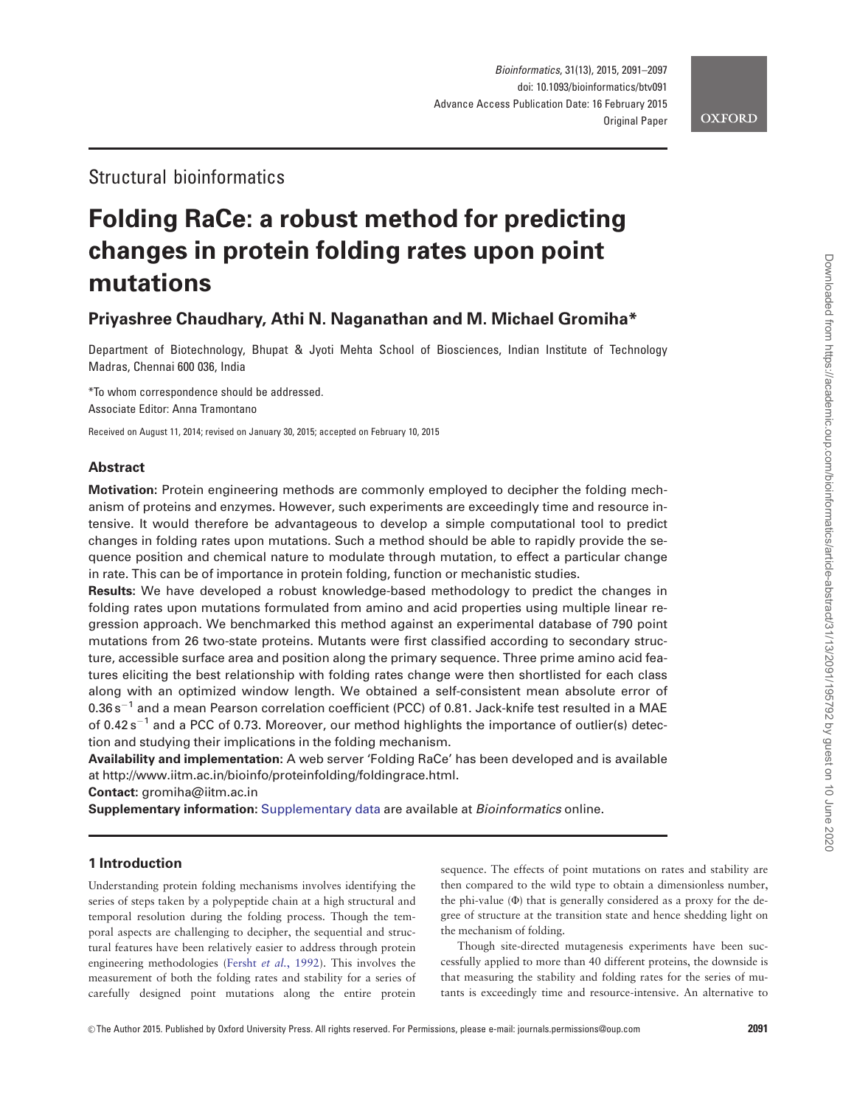# Structural bioinformatics

# Folding RaCe: a robust method for predicting changes in protein folding rates upon point mutations

# Priyashree Chaudhary, Athi N. Naganathan and M. Michael Gromiha\*

Department of Biotechnology, Bhupat & Jyoti Mehta School of Biosciences, Indian Institute of Technology Madras, Chennai 600 036, India

\*To whom correspondence should be addressed. Associate Editor: Anna Tramontano

Received on August 11, 2014; revised on January 30, 2015; accepted on February 10, 2015

# Abstract

Motivation: Protein engineering methods are commonly employed to decipher the folding mechanism of proteins and enzymes. However, such experiments are exceedingly time and resource intensive. It would therefore be advantageous to develop a simple computational tool to predict changes in folding rates upon mutations. Such a method should be able to rapidly provide the sequence position and chemical nature to modulate through mutation, to effect a particular change in rate. This can be of importance in protein folding, function or mechanistic studies.

Results: We have developed a robust knowledge-based methodology to predict the changes in folding rates upon mutations formulated from amino and acid properties using multiple linear regression approach. We benchmarked this method against an experimental database of 790 point mutations from 26 two-state proteins. Mutants were first classified according to secondary structure, accessible surface area and position along the primary sequence. Three prime amino acid features eliciting the best relationship with folding rates change were then shortlisted for each class along with an optimized window length. We obtained a self-consistent mean absolute error of  $0.36\,\rm s^{-1}$  and a mean Pearson correlation coefficient (PCC) of 0.81. Jack-knife test resulted in a MAE of 0.42s<sup>-1</sup> and a PCC of 0.73. Moreover, our method highlights the importance of outlier(s) detection and studying their implications in the folding mechanism.

Availability and implementation: A web server 'Folding RaCe' has been developed and is available at [http://www.iitm.ac.in/bioinfo/proteinfolding/foldingrace.html.](http://www.iitm.ac.in/bioinfo/proteinfolding/foldingrace.html)

Contact: gromiha@iitm.ac.in

Supplementary information: [Supplementary data](http://bioinformatics.oxfordjournals.org/lookup/suppl/doi:10.1093/bioinformatics/btv091/-/DC1) are available at Bioinformatics online.

# 1 Introduction

Understanding protein folding mechanisms involves identifying the series of steps taken by a polypeptide chain at a high structural and temporal resolution during the folding process. Though the temporal aspects are challenging to decipher, the sequential and structural features have been relatively easier to address through protein engineering methodologies (Fersht et al.[, 1992](#page-5-0)). This involves the measurement of both the folding rates and stability for a series of carefully designed point mutations along the entire protein

sequence. The effects of point mutations on rates and stability are then compared to the wild type to obtain a dimensionless number, the phi-value  $(\Phi)$  that is generally considered as a proxy for the degree of structure at the transition state and hence shedding light on the mechanism of folding.

Though site-directed mutagenesis experiments have been successfully applied to more than 40 different proteins, the downside is that measuring the stability and folding rates for the series of mutants is exceedingly time and resource-intensive. An alternative to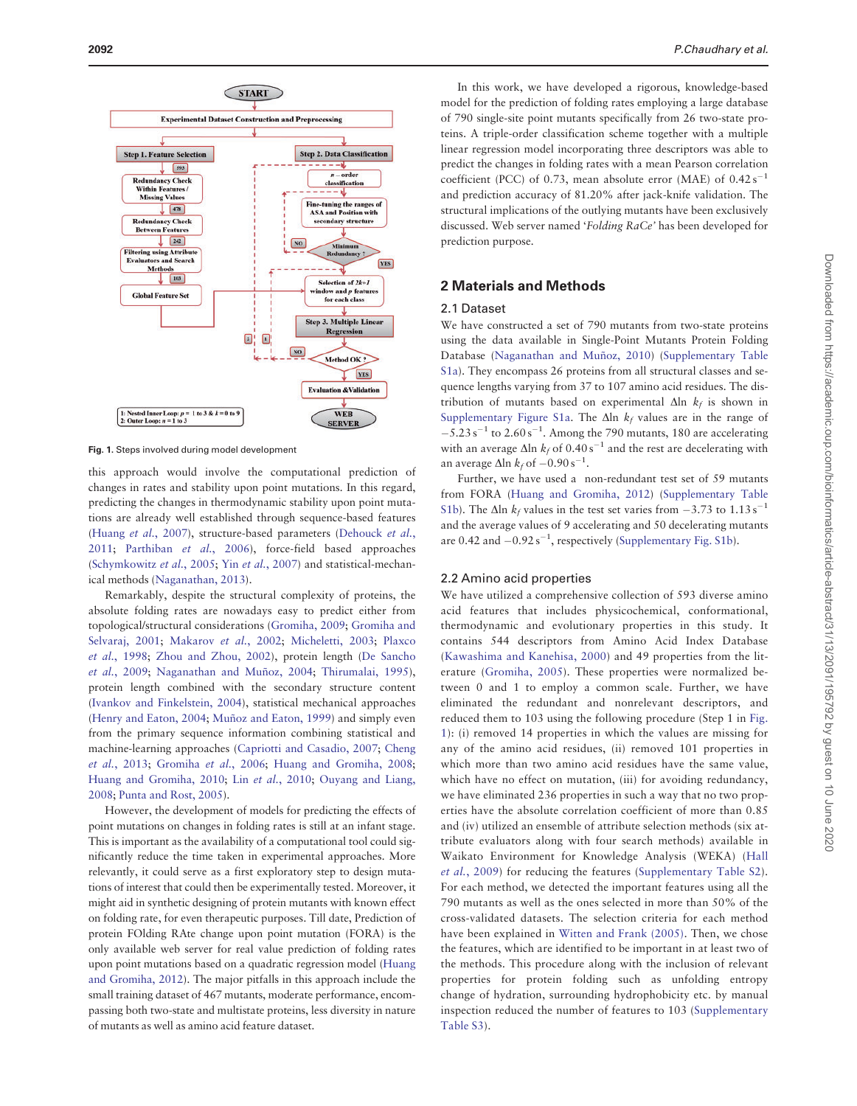<span id="page-1-0"></span>

Fig. 1. Steps involved during model development

this approach would involve the computational prediction of changes in rates and stability upon point mutations. In this regard, predicting the changes in thermodynamic stability upon point mutations are already well established through sequence-based features ([Huang](#page-6-0) et al., 2007), structure-based parameters [\(Dehouck](#page-5-0) et al., [2011;](#page-5-0) [Parthiban](#page-6-0) et al., 2006), force-field based approaches ([Schymkowitz](#page-6-0) et al., 2005; Yin et al.[, 2007\)](#page-6-0) and statistical-mechanical methods [\(Naganathan, 2013](#page-6-0)).

Remarkably, despite the structural complexity of proteins, the absolute folding rates are nowadays easy to predict either from topological/structural considerations ([Gromiha, 2009;](#page-5-0) [Gromiha and](#page-5-0) [Selvaraj, 2001;](#page-5-0) [Makarov](#page-6-0) et al., 2002; [Micheletti, 2003](#page-6-0); [Plaxco](#page-6-0) et al.[, 1998](#page-6-0); [Zhou and Zhou, 2002\)](#page-6-0), protein length ([De Sancho](#page-5-0) et al.[, 2009;](#page-5-0) Naganathan and Muñoz, 2004; [Thirumalai, 1995](#page-6-0)), protein length combined with the secondary structure content ([Ivankov and Finkelstein, 2004\)](#page-6-0), statistical mechanical approaches ([Henry and Eaton, 2004](#page-5-0); Muñoz and Eaton, 1999) and simply even from the primary sequence information combining statistical and machine-learning approaches ([Capriotti and Casadio, 2007;](#page-5-0) [Cheng](#page-5-0) et al.[, 2013;](#page-5-0) [Gromiha](#page-5-0) et al., 2006; [Huang and Gromiha, 2008;](#page-6-0) [Huang and Gromiha, 2010](#page-6-0); Lin et al.[, 2010;](#page-6-0) [Ouyang and Liang,](#page-6-0) [2008;](#page-6-0) [Punta and Rost, 2005](#page-6-0)).

However, the development of models for predicting the effects of point mutations on changes in folding rates is still at an infant stage. This is important as the availability of a computational tool could significantly reduce the time taken in experimental approaches. More relevantly, it could serve as a first exploratory step to design mutations of interest that could then be experimentally tested. Moreover, it might aid in synthetic designing of protein mutants with known effect on folding rate, for even therapeutic purposes. Till date, Prediction of protein FOlding RAte change upon point mutation (FORA) is the only available web server for real value prediction of folding rates upon point mutations based on a quadratic regression model ([Huang](#page-6-0) [and Gromiha, 2012\)](#page-6-0). The major pitfalls in this approach include the small training dataset of 467 mutants, moderate performance, encompassing both two-state and multistate proteins, less diversity in nature of mutants as well as amino acid feature dataset.

In this work, we have developed a rigorous, knowledge-based model for the prediction of folding rates employing a large database of 790 single-site point mutants specifically from 26 two-state proteins. A triple-order classification scheme together with a multiple linear regression model incorporating three descriptors was able to predict the changes in folding rates with a mean Pearson correlation coefficient (PCC) of 0.73, mean absolute error (MAE) of  $0.42 \text{ s}^{-1}$ and prediction accuracy of 81.20% after jack-knife validation. The structural implications of the outlying mutants have been exclusively discussed. Web server named 'Folding RaCe' has been developed for prediction purpose.

# 2 Materials and Methods

#### 2.1 Dataset

We have constructed a set of 790 mutants from two-state proteins using the data available in Single-Point Mutants Protein Folding Database (Naganathan and Muñoz, 2010) [\(Supplementary Table](http://bioinformatics.oxfordjournals.org/lookup/suppl/doi:10.1093/bioinformatics/btv091/-/DC1) [S1a\)](http://bioinformatics.oxfordjournals.org/lookup/suppl/doi:10.1093/bioinformatics/btv091/-/DC1). They encompass 26 proteins from all structural classes and sequence lengths varying from 37 to 107 amino acid residues. The distribution of mutants based on experimental  $\Delta$ ln  $k_f$  is shown in [Supplementary Figure S1a.](http://bioinformatics.oxfordjournals.org/lookup/suppl/doi:10.1093/bioinformatics/btv091/-/DC1) The  $\Delta$ ln  $k_f$  values are in the range of  $-5.23$  s<sup>-1</sup> to 2.60 s<sup>-1</sup>. Among the 790 mutants, 180 are accelerating with an average  $\Delta$ ln  $k_f$  of 0.40 s<sup>-1</sup> and the rest are decelerating with an average  $\Delta$ ln  $k_f$  of  $-0.90$  s<sup>-1</sup>.

Further, we have used a non-redundant test set of 59 mutants from FORA [\(Huang and Gromiha, 2012\)](#page-6-0) [\(Supplementary Table](http://bioinformatics.oxfordjournals.org/lookup/suppl/doi:10.1093/bioinformatics/btv091/-/DC1) [S1b\)](http://bioinformatics.oxfordjournals.org/lookup/suppl/doi:10.1093/bioinformatics/btv091/-/DC1). The  $\Delta$ ln  $k_f$  values in the test set varies from  $-3.73$  to  $1.13 \text{ s}^{-1}$ and the average values of 9 accelerating and 50 decelerating mutants are 0.42 and  $-0.92 s^{-1}$ , respectively ([Supplementary Fig. S1b\)](http://bioinformatics.oxfordjournals.org/lookup/suppl/doi:10.1093/bioinformatics/btv091/-/DC1).

## 2.2 Amino acid properties

We have utilized a comprehensive collection of 593 diverse amino acid features that includes physicochemical, conformational, thermodynamic and evolutionary properties in this study. It contains 544 descriptors from Amino Acid Index Database ([Kawashima and Kanehisa, 2000\)](#page-6-0) and 49 properties from the literature ([Gromiha, 2005](#page-5-0)). These properties were normalized between 0 and 1 to employ a common scale. Further, we have eliminated the redundant and nonrelevant descriptors, and reduced them to 103 using the following procedure (Step 1 in Fig. 1): (i) removed 14 properties in which the values are missing for any of the amino acid residues, (ii) removed 101 properties in which more than two amino acid residues have the same value, which have no effect on mutation, (iii) for avoiding redundancy, we have eliminated 236 properties in such a way that no two properties have the absolute correlation coefficient of more than 0.85 and (iv) utilized an ensemble of attribute selection methods (six attribute evaluators along with four search methods) available in Waikato Environment for Knowledge Analysis (WEKA) ([Hall](#page-5-0) et al.[, 2009\)](#page-5-0) for reducing the features ([Supplementary Table S2](http://bioinformatics.oxfordjournals.org/lookup/suppl/doi:10.1093/bioinformatics/btv091/-/DC1)). For each method, we detected the important features using all the 790 mutants as well as the ones selected in more than 50% of the cross-validated datasets. The selection criteria for each method have been explained in [Witten and Frank \(2005\)](#page-6-0). Then, we chose the features, which are identified to be important in at least two of the methods. This procedure along with the inclusion of relevant properties for protein folding such as unfolding entropy change of hydration, surrounding hydrophobicity etc. by manual inspection reduced the number of features to 103 [\(Supplementary](http://bioinformatics.oxfordjournals.org/lookup/suppl/doi:10.1093/bioinformatics/btv091/-/DC1) [Table S3\)](http://bioinformatics.oxfordjournals.org/lookup/suppl/doi:10.1093/bioinformatics/btv091/-/DC1).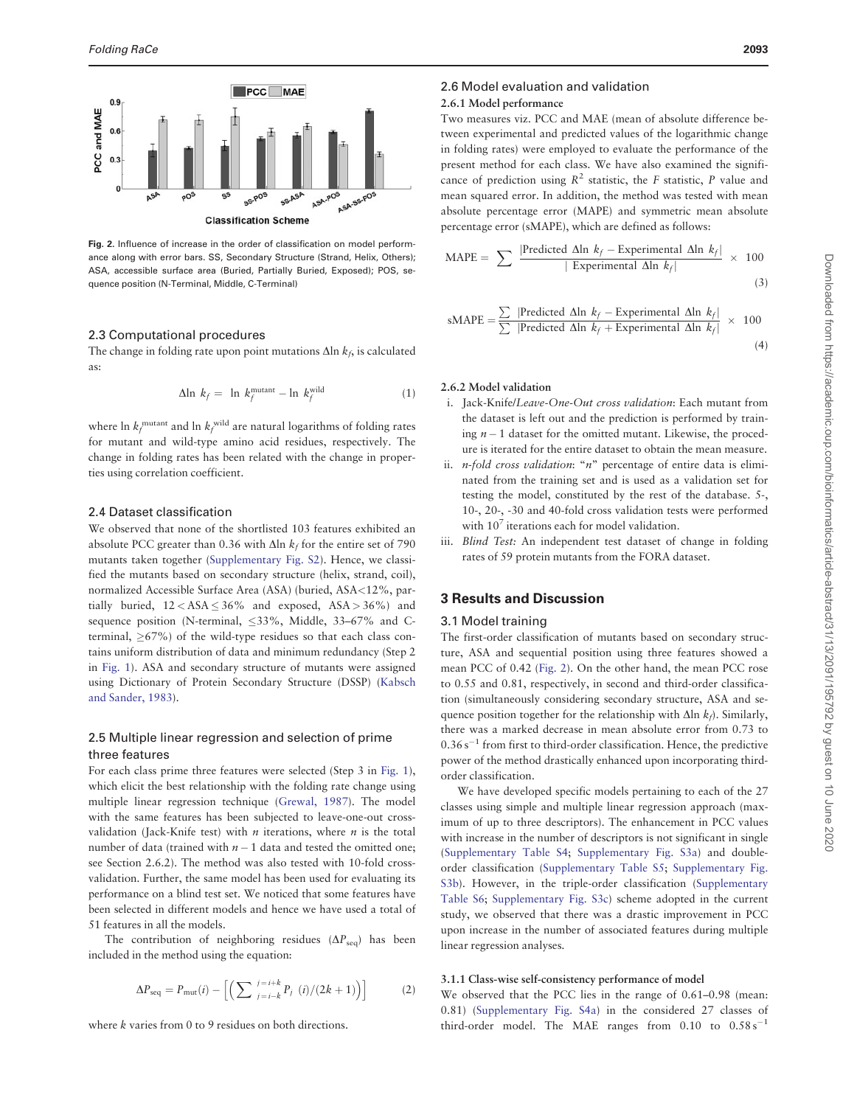<span id="page-2-0"></span>

Fig. 2. Influence of increase in the order of classification on model performance along with error bars. SS, Secondary Structure (Strand, Helix, Others); ASA, accessible surface area (Buried, Partially Buried, Exposed); POS, sequence position (N-Terminal, Middle, C-Terminal)

## 2.3 Computational procedures

The change in folding rate upon point mutations  $\Delta \ln k_f$ , is calculated as:

$$
\Delta \ln \ k_f = \ln \ k_f^{\text{mutant}} - \ln \ k_f^{\text{wild}} \tag{1}
$$

where  $\ln k_f^{\text{mutant}}$  and  $\ln k_f^{\text{wild}}$  are natural logarithms of folding rates for mutant and wild-type amino acid residues, respectively. The change in folding rates has been related with the change in properties using correlation coefficient.

#### 2.4 Dataset classification

We observed that none of the shortlisted 103 features exhibited an absolute PCC greater than 0.36 with  $\Delta$ ln  $k_f$  for the entire set of 790 mutants taken together [\(Supplementary Fig. S2\)](http://bioinformatics.oxfordjournals.org/lookup/suppl/doi:10.1093/bioinformatics/btv091/-/DC1). Hence, we classified the mutants based on secondary structure (helix, strand, coil), normalized Accessible Surface Area (ASA) (buried, ASA<12%, partially buried,  $12 <$  ASA  $\leq$  36% and exposed, ASA  $>$  36%) and sequence position (N-terminal,  $\leq$ 33%, Middle, 33–67% and Cterminal,  $>67\%$ ) of the wild-type residues so that each class contains uniform distribution of data and minimum redundancy (Step 2 in [Fig. 1](#page-1-0)). ASA and secondary structure of mutants were assigned using Dictionary of Protein Secondary Structure (DSSP) ([Kabsch](#page-6-0) [and Sander, 1983](#page-6-0)).

# 2.5 Multiple linear regression and selection of prime three features

For each class prime three features were selected (Step 3 in [Fig. 1](#page-1-0)), which elicit the best relationship with the folding rate change using multiple linear regression technique [\(Grewal, 1987\)](#page-5-0). The model with the same features has been subjected to leave-one-out crossvalidation (Jack-Knife test) with  $n$  iterations, where  $n$  is the total number of data (trained with  $n-1$  data and tested the omitted one; see Section 2.6.2). The method was also tested with 10-fold crossvalidation. Further, the same model has been used for evaluating its performance on a blind test set. We noticed that some features have been selected in different models and hence we have used a total of 51 features in all the models.

The contribution of neighboring residues  $(\Delta P_{\text{seq}})$  has been included in the method using the equation:

$$
\Delta P_{\text{seq}} = P_{\text{mut}}(i) - \left[ \left( \sum_{j=i-k}^{j=i+k} P_j(i)/(2k+1) \right) \right] \tag{2}
$$

where *k* varies from 0 to 9 residues on both directions.

# 2.6 Model evaluation and validation

# 2.6.1 Model performance

Two measures viz. PCC and MAE (mean of absolute difference between experimental and predicted values of the logarithmic change in folding rates) were employed to evaluate the performance of the present method for each class. We have also examined the significance of prediction using  $R^2$  statistic, the F statistic, P value and mean squared error. In addition, the method was tested with mean absolute percentage error (MAPE) and symmetric mean absolute percentage error (sMAPE), which are defined as follows:

$$
\text{MAPE} = \sum \frac{|\text{Predicted } \Delta \ln \ k_f - \text{Experimental } \Delta \ln \ k_f|}{|\text{Experimental } \Delta \ln \ k_f|} \times 100
$$
\n(3)

$$
sMAPE = \frac{\sum |\text{Predicted } \Delta \ln \ k_f - \text{Experimental } \Delta \ln \ k_f|}{\sum |\text{Predicted } \Delta \ln \ k_f + \text{Experimental } \Delta \ln \ k_f|} \times 100
$$
\n(4)

# 2.6.2 Model validation

- i. Jack-Knife/Leave-One-Out cross validation: Each mutant from the dataset is left out and the prediction is performed by training  $n-1$  dataset for the omitted mutant. Likewise, the procedure is iterated for the entire dataset to obtain the mean measure.
- ii. *n-fold cross validation*: " $n$ " percentage of entire data is eliminated from the training set and is used as a validation set for testing the model, constituted by the rest of the database. 5-, 10-, 20-, -30 and 40-fold cross validation tests were performed with  $10<sup>7</sup>$  iterations each for model validation.
- iii. Blind Test: An independent test dataset of change in folding rates of 59 protein mutants from the FORA dataset.

# 3 Results and Discussion

#### 3.1 Model training

The first-order classification of mutants based on secondary structure, ASA and sequential position using three features showed a mean PCC of 0.42 (Fig. 2). On the other hand, the mean PCC rose to 0.55 and 0.81, respectively, in second and third-order classification (simultaneously considering secondary structure, ASA and sequence position together for the relationship with  $\Delta \ln k_f$ ). Similarly, there was a marked decrease in mean absolute error from 0.73 to  $0.36 s^{-1}$  from first to third-order classification. Hence, the predictive power of the method drastically enhanced upon incorporating thirdorder classification.

We have developed specific models pertaining to each of the 27 classes using simple and multiple linear regression approach (maximum of up to three descriptors). The enhancement in PCC values with increase in the number of descriptors is not significant in single ([Supplementary Table S4](http://bioinformatics.oxfordjournals.org/lookup/suppl/doi:10.1093/bioinformatics/btv091/-/DC1); [Supplementary Fig. S3a\)](http://bioinformatics.oxfordjournals.org/lookup/suppl/doi:10.1093/bioinformatics/btv091/-/DC1) and doubleorder classification [\(Supplementary Table S5](http://bioinformatics.oxfordjournals.org/lookup/suppl/doi:10.1093/bioinformatics/btv091/-/DC1); [Supplementary Fig.](http://bioinformatics.oxfordjournals.org/lookup/suppl/doi:10.1093/bioinformatics/btv091/-/DC1) [S3b\)](http://bioinformatics.oxfordjournals.org/lookup/suppl/doi:10.1093/bioinformatics/btv091/-/DC1). However, in the triple-order classification ([Supplementary](http://bioinformatics.oxfordjournals.org/lookup/suppl/doi:10.1093/bioinformatics/btv091/-/DC1) [Table S6](http://bioinformatics.oxfordjournals.org/lookup/suppl/doi:10.1093/bioinformatics/btv091/-/DC1); [Supplementary Fig. S3c\)](http://bioinformatics.oxfordjournals.org/lookup/suppl/doi:10.1093/bioinformatics/btv091/-/DC1) scheme adopted in the current study, we observed that there was a drastic improvement in PCC upon increase in the number of associated features during multiple linear regression analyses.

#### 3.1.1 Class-wise self-consistency performance of model

We observed that the PCC lies in the range of 0.61–0.98 (mean: 0.81) [\(Supplementary Fig. S4a](http://bioinformatics.oxfordjournals.org/lookup/suppl/doi:10.1093/bioinformatics/btv091/-/DC1)) in the considered 27 classes of third-order model. The MAE ranges from  $0.10$  to  $0.58 \text{ s}^{-1}$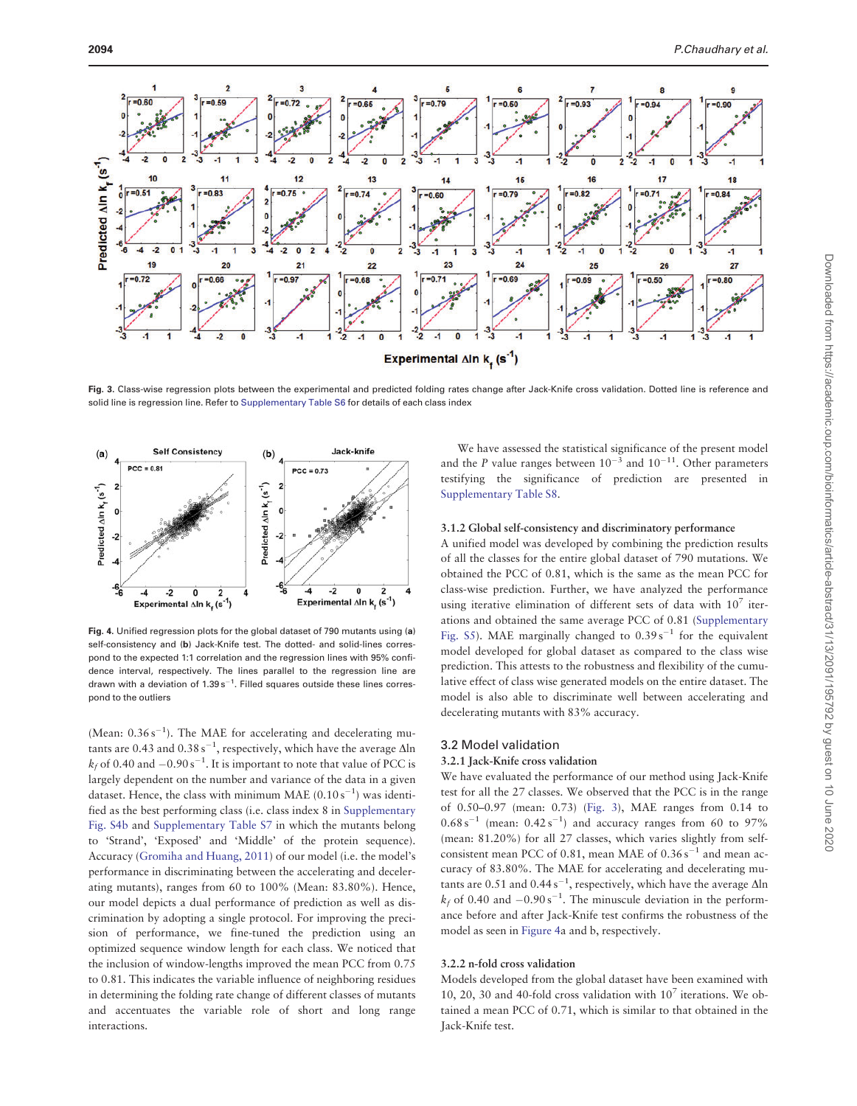

Fig. 3. Class-wise regression plots between the experimental and predicted folding rates change after Jack-Knife cross validation. Dotted line is reference and solid line is regression line. Refer to [Supplementary Table S6](http://bioinformatics.oxfordjournals.org/lookup/suppl/doi:10.1093/bioinformatics/btv091/-/DC1) for details of each class index



Fig. 4. Unified regression plots for the global dataset of 790 mutants using (a) self-consistency and (b) Jack-Knife test. The dotted- and solid-lines correspond to the expected 1:1 correlation and the regression lines with 95% confidence interval, respectively. The lines parallel to the regression line are drawn with a deviation of  $1.39 s^{-1}$ . Filled squares outside these lines correspond to the outliers

(Mean:  $0.36 s^{-1}$ ). The MAE for accelerating and decelerating mutants are 0.43 and 0.38 s<sup>-1</sup>, respectively, which have the average  $\Delta$ ln  $k_f$  of 0.40 and  $-0.90 s^{-1}$ . It is important to note that value of PCC is largely dependent on the number and variance of the data in a given dataset. Hence, the class with minimum MAE  $(0.10 \text{ s}^{-1})$  was identified as the best performing class (i.e. class index 8 in [Supplementary](http://bioinformatics.oxfordjournals.org/lookup/suppl/doi:10.1093/bioinformatics/btv091/-/DC1) [Fig. S4b](http://bioinformatics.oxfordjournals.org/lookup/suppl/doi:10.1093/bioinformatics/btv091/-/DC1) and [Supplementary Table S7](http://bioinformatics.oxfordjournals.org/lookup/suppl/doi:10.1093/bioinformatics/btv091/-/DC1) in which the mutants belong to 'Strand', 'Exposed' and 'Middle' of the protein sequence). Accuracy ([Gromiha and Huang, 2011\)](#page-5-0) of our model (i.e. the model's performance in discriminating between the accelerating and decelerating mutants), ranges from 60 to 100% (Mean: 83.80%). Hence, our model depicts a dual performance of prediction as well as discrimination by adopting a single protocol. For improving the precision of performance, we fine-tuned the prediction using an optimized sequence window length for each class. We noticed that the inclusion of window-lengths improved the mean PCC from 0.75 to 0.81. This indicates the variable influence of neighboring residues in determining the folding rate change of different classes of mutants and accentuates the variable role of short and long range interactions.

We have assessed the statistical significance of the present model and the P value ranges between  $10^{-3}$  and  $10^{-11}$ . Other parameters testifying the significance of prediction are presented in [Supplementary Table S8](http://bioinformatics.oxfordjournals.org/lookup/suppl/doi:10.1093/bioinformatics/btv091/-/DC1).

#### 3.1.2 Global self-consistency and discriminatory performance

A unified model was developed by combining the prediction results of all the classes for the entire global dataset of 790 mutations. We obtained the PCC of 0.81, which is the same as the mean PCC for class-wise prediction. Further, we have analyzed the performance using iterative elimination of different sets of data with  $10<sup>7</sup>$  iterations and obtained the same average PCC of 0.81 ([Supplementary](http://bioinformatics.oxfordjournals.org/lookup/suppl/doi:10.1093/bioinformatics/btv091/-/DC1) [Fig. S5](http://bioinformatics.oxfordjournals.org/lookup/suppl/doi:10.1093/bioinformatics/btv091/-/DC1)). MAE marginally changed to  $0.39 s^{-1}$  for the equivalent model developed for global dataset as compared to the class wise prediction. This attests to the robustness and flexibility of the cumulative effect of class wise generated models on the entire dataset. The model is also able to discriminate well between accelerating and decelerating mutants with 83% accuracy.

#### 3.2 Model validation

#### 3.2.1 Jack-Knife cross validation

We have evaluated the performance of our method using Jack-Knife test for all the 27 classes. We observed that the PCC is in the range of 0.50–0.97 (mean: 0.73) (Fig. 3), MAE ranges from 0.14 to  $0.68 s^{-1}$  (mean:  $0.42 s^{-1}$ ) and accuracy ranges from 60 to 97% (mean: 81.20%) for all 27 classes, which varies slightly from selfconsistent mean PCC of 0.81, mean MAE of  $0.36 \text{ s}^{-1}$  and mean accuracy of 83.80%. The MAE for accelerating and decelerating mutants are 0.51 and 0.44 s<sup>-1</sup>, respectively, which have the average  $\Delta$ ln  $k_f$  of 0.40 and  $-0.90 s^{-1}$ . The minuscule deviation in the performance before and after Jack-Knife test confirms the robustness of the model as seen in Figure 4a and b, respectively.

#### 3.2.2 n-fold cross validation

Models developed from the global dataset have been examined with 10, 20, 30 and 40-fold cross validation with  $10<sup>7</sup>$  iterations. We obtained a mean PCC of 0.71, which is similar to that obtained in the Jack-Knife test.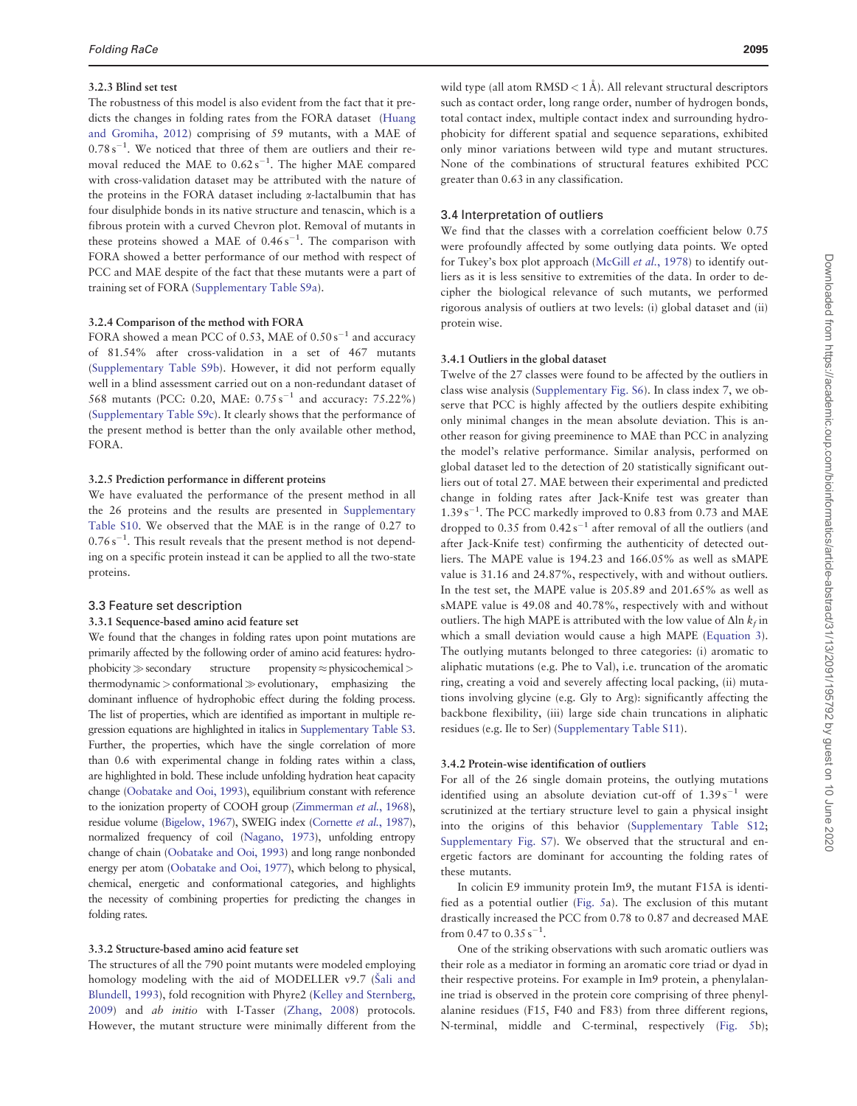#### 3.2.3 Blind set test

The robustness of this model is also evident from the fact that it predicts the changes in folding rates from the FORA dataset ([Huang](#page-6-0) [and Gromiha, 2012](#page-6-0)) comprising of 59 mutants, with a MAE of  $0.78 s<sup>-1</sup>$ . We noticed that three of them are outliers and their removal reduced the MAE to  $0.62 s^{-1}$ . The higher MAE compared with cross-validation dataset may be attributed with the nature of the proteins in the FORA dataset including  $\alpha$ -lactalbumin that has four disulphide bonds in its native structure and tenascin, which is a fibrous protein with a curved Chevron plot. Removal of mutants in these proteins showed a MAE of  $0.46 s^{-1}$ . The comparison with FORA showed a better performance of our method with respect of PCC and MAE despite of the fact that these mutants were a part of training set of FORA ([Supplementary Table S9a\)](http://bioinformatics.oxfordjournals.org/lookup/suppl/doi:10.1093/bioinformatics/btv091/-/DC1).

#### 3.2.4 Comparison of the method with FORA

FORA showed a mean PCC of 0.53, MAE of 0.50 s<sup>-1</sup> and accuracy of 81.54% after cross-validation in a set of 467 mutants ([Supplementary Table S9b\)](http://bioinformatics.oxfordjournals.org/lookup/suppl/doi:10.1093/bioinformatics/btv091/-/DC1). However, it did not perform equally well in a blind assessment carried out on a non-redundant dataset of 568 mutants (PCC: 0.20, MAE: 0.75 s<sup>-1</sup> and accuracy: 75.22%) ([Supplementary Table S9c](http://bioinformatics.oxfordjournals.org/lookup/suppl/doi:10.1093/bioinformatics/btv091/-/DC1)). It clearly shows that the performance of the present method is better than the only available other method, FORA.

#### 3.2.5 Prediction performance in different proteins

We have evaluated the performance of the present method in all the 26 proteins and the results are presented in [Supplementary](http://bioinformatics.oxfordjournals.org/lookup/suppl/doi:10.1093/bioinformatics/btv091/-/DC1) [Table S10.](http://bioinformatics.oxfordjournals.org/lookup/suppl/doi:10.1093/bioinformatics/btv091/-/DC1) We observed that the MAE is in the range of 0.27 to  $0.76 s<sup>-1</sup>$ . This result reveals that the present method is not depending on a specific protein instead it can be applied to all the two-state proteins.

#### 3.3 Feature set description

#### 3.3.1 Sequence-based amino acid feature set

We found that the changes in folding rates upon point mutations are primarily affected by the following order of amino acid features: hydro $phobicity \gg secondary$  structure propensity  $\approx$  physicochemical  $>$  $thermodynamic > conformational \gg evolutionary,$  emphasizing the dominant influence of hydrophobic effect during the folding process. The list of properties, which are identified as important in multiple regression equations are highlighted in italics in [Supplementary Table S3.](http://bioinformatics.oxfordjournals.org/lookup/suppl/doi:10.1093/bioinformatics/btv091/-/DC1) Further, the properties, which have the single correlation of more than 0.6 with experimental change in folding rates within a class, are highlighted in bold. These include unfolding hydration heat capacity change ([Oobatake and Ooi, 1993\)](#page-6-0), equilibrium constant with reference to the ionization property of COOH group [\(Zimmerman](#page-6-0) et al., 1968), residue volume [\(Bigelow, 1967\)](#page-5-0), SWEIG index [\(Cornette](#page-5-0) et al., 1987), normalized frequency of coil [\(Nagano, 1973\)](#page-6-0), unfolding entropy change of chain [\(Oobatake and Ooi, 1993](#page-6-0)) and long range nonbonded energy per atom [\(Oobatake and Ooi, 1977\)](#page-6-0), which belong to physical, chemical, energetic and conformational categories, and highlights the necessity of combining properties for predicting the changes in folding rates.

#### 3.3.2 Structure-based amino acid feature set

The structures of all the 790 point mutants were modeled employing homology modeling with the aid of MODELLER v9.7 ([S](#page-6-0)[ali and](#page-6-0) [Blundell, 1993\)](#page-6-0), fold recognition with Phyre2 ([Kelley and Sternberg,](#page-6-0) [2009\)](#page-6-0) and ab initio with I-Tasser [\(Zhang, 2008\)](#page-6-0) protocols. However, the mutant structure were minimally different from the

wild type (all atom  $RMSD < 1$  Å). All relevant structural descriptors such as contact order, long range order, number of hydrogen bonds, total contact index, multiple contact index and surrounding hydrophobicity for different spatial and sequence separations, exhibited only minor variations between wild type and mutant structures. None of the combinations of structural features exhibited PCC greater than 0.63 in any classification.

## 3.4 Interpretation of outliers

We find that the classes with a correlation coefficient below 0.75 were profoundly affected by some outlying data points. We opted for Tukey's box plot approach ([McGill](#page-6-0) et al., 1978) to identify outliers as it is less sensitive to extremities of the data. In order to decipher the biological relevance of such mutants, we performed rigorous analysis of outliers at two levels: (i) global dataset and (ii) protein wise.

#### 3.4.1 Outliers in the global dataset

Twelve of the 27 classes were found to be affected by the outliers in class wise analysis ([Supplementary Fig. S6](http://bioinformatics.oxfordjournals.org/lookup/suppl/doi:10.1093/bioinformatics/btv091/-/DC1)). In class index 7, we observe that PCC is highly affected by the outliers despite exhibiting only minimal changes in the mean absolute deviation. This is another reason for giving preeminence to MAE than PCC in analyzing the model's relative performance. Similar analysis, performed on global dataset led to the detection of 20 statistically significant outliers out of total 27. MAE between their experimental and predicted change in folding rates after Jack-Knife test was greater than 1.39 s<sup>-1</sup>. The PCC markedly improved to 0.83 from 0.73 and MAE dropped to 0.35 from  $0.42 s^{-1}$  after removal of all the outliers (and after Jack-Knife test) confirming the authenticity of detected outliers. The MAPE value is 194.23 and 166.05% as well as sMAPE value is 31.16 and 24.87%, respectively, with and without outliers. In the test set, the MAPE value is 205.89 and 201.65% as well as sMAPE value is 49.08 and 40.78%, respectively with and without outliers. The high MAPE is attributed with the low value of  $\Delta$ ln  $k_f$  in which a small deviation would cause a high MAPE [\(Equation 3](#page-2-0)). The outlying mutants belonged to three categories: (i) aromatic to aliphatic mutations (e.g. Phe to Val), i.e. truncation of the aromatic ring, creating a void and severely affecting local packing, (ii) mutations involving glycine (e.g. Gly to Arg): significantly affecting the backbone flexibility, (iii) large side chain truncations in aliphatic residues (e.g. Ile to Ser) ([Supplementary Table S11](http://bioinformatics.oxfordjournals.org/lookup/suppl/doi:10.1093/bioinformatics/btv091/-/DC1)).

#### 3.4.2 Protein-wise identification of outliers

For all of the 26 single domain proteins, the outlying mutations identified using an absolute deviation cut-off of  $1.39 s^{-1}$  were scrutinized at the tertiary structure level to gain a physical insight into the origins of this behavior [\(Supplementary Table S12;](http://bioinformatics.oxfordjournals.org/lookup/suppl/doi:10.1093/bioinformatics/btv091/-/DC1) [Supplementary Fig. S7](http://bioinformatics.oxfordjournals.org/lookup/suppl/doi:10.1093/bioinformatics/btv091/-/DC1)). We observed that the structural and energetic factors are dominant for accounting the folding rates of these mutants.

In colicin E9 immunity protein Im9, the mutant F15A is identified as a potential outlier [\(Fig. 5](#page-5-0)a). The exclusion of this mutant drastically increased the PCC from 0.78 to 0.87 and decreased MAE from 0.47 to 0.35  $s^{-1}$ .

One of the striking observations with such aromatic outliers was their role as a mediator in forming an aromatic core triad or dyad in their respective proteins. For example in Im9 protein, a phenylalanine triad is observed in the protein core comprising of three phenylalanine residues (F15, F40 and F83) from three different regions, N-terminal, middle and C-terminal, respectively [\(Fig. 5b](#page-5-0));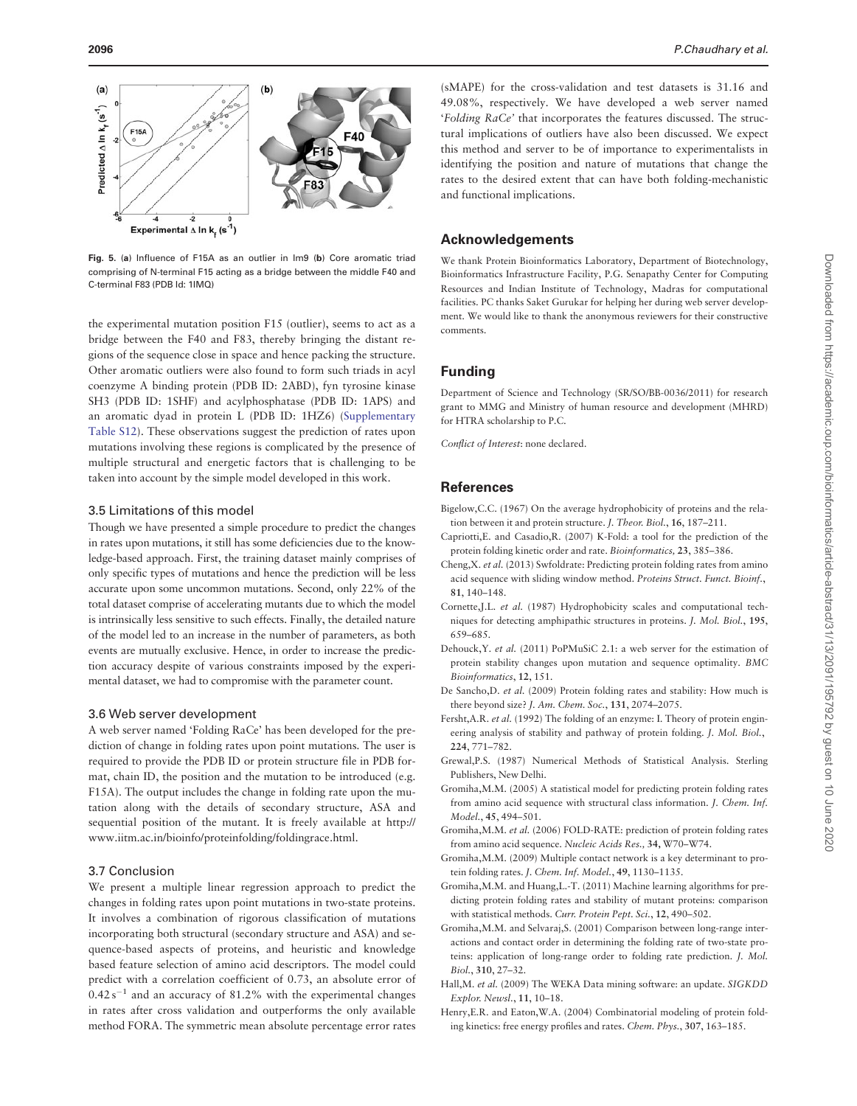<span id="page-5-0"></span>

Fig. 5. (a) Influence of F15A as an outlier in Im9 (b) Core aromatic triad comprising of N-terminal F15 acting as a bridge between the middle F40 and C-terminal F83 (PDB Id: 1IMQ)

the experimental mutation position F15 (outlier), seems to act as a bridge between the F40 and F83, thereby bringing the distant regions of the sequence close in space and hence packing the structure. Other aromatic outliers were also found to form such triads in acyl coenzyme A binding protein (PDB ID: 2ABD), fyn tyrosine kinase SH3 (PDB ID: 1SHF) and acylphosphatase (PDB ID: 1APS) and an aromatic dyad in protein L (PDB ID: 1HZ6) ([Supplementary](http://bioinformatics.oxfordjournals.org/lookup/suppl/doi:10.1093/bioinformatics/btv091/-/DC1) [Table S12\)](http://bioinformatics.oxfordjournals.org/lookup/suppl/doi:10.1093/bioinformatics/btv091/-/DC1). These observations suggest the prediction of rates upon mutations involving these regions is complicated by the presence of multiple structural and energetic factors that is challenging to be taken into account by the simple model developed in this work.

#### 3.5 Limitations of this model

Though we have presented a simple procedure to predict the changes in rates upon mutations, it still has some deficiencies due to the knowledge-based approach. First, the training dataset mainly comprises of only specific types of mutations and hence the prediction will be less accurate upon some uncommon mutations. Second, only 22% of the total dataset comprise of accelerating mutants due to which the model is intrinsically less sensitive to such effects. Finally, the detailed nature of the model led to an increase in the number of parameters, as both events are mutually exclusive. Hence, in order to increase the prediction accuracy despite of various constraints imposed by the experimental dataset, we had to compromise with the parameter count.

#### 3.6 Web server development

A web server named 'Folding RaCe' has been developed for the prediction of change in folding rates upon point mutations. The user is required to provide the PDB ID or protein structure file in PDB format, chain ID, the position and the mutation to be introduced (e.g. F15A). The output includes the change in folding rate upon the mutation along with the details of secondary structure, ASA and sequential position of the mutant. It is freely available at [http://](http://www.iitm.ac.in/bioinfo/proteinfolding/foldingrace.html) [www.iitm.ac.in/bioinfo/proteinfolding/foldingrace.html.](http://www.iitm.ac.in/bioinfo/proteinfolding/foldingrace.html)

# 3.7 Conclusion

We present a multiple linear regression approach to predict the changes in folding rates upon point mutations in two-state proteins. It involves a combination of rigorous classification of mutations incorporating both structural (secondary structure and ASA) and sequence-based aspects of proteins, and heuristic and knowledge based feature selection of amino acid descriptors. The model could predict with a correlation coefficient of 0.73, an absolute error of  $0.42 s^{-1}$  and an accuracy of 81.2% with the experimental changes in rates after cross validation and outperforms the only available method FORA. The symmetric mean absolute percentage error rates

(sMAPE) for the cross-validation and test datasets is 31.16 and 49.08%, respectively. We have developed a web server named 'Folding RaCe' that incorporates the features discussed. The structural implications of outliers have also been discussed. We expect this method and server to be of importance to experimentalists in identifying the position and nature of mutations that change the rates to the desired extent that can have both folding-mechanistic and functional implications.

# Acknowledgements

We thank Protein Bioinformatics Laboratory, Department of Biotechnology, Bioinformatics Infrastructure Facility, P.G. Senapathy Center for Computing Resources and Indian Institute of Technology, Madras for computational facilities. PC thanks Saket Gurukar for helping her during web server development. We would like to thank the anonymous reviewers for their constructive comments.

#### Funding

Department of Science and Technology (SR/SO/BB-0036/2011) for research grant to MMG and Ministry of human resource and development (MHRD) for HTRA scholarship to P.C.

Conflict of Interest: none declared.

#### **References**

- Bigelow,C.C. (1967) On the average hydrophobicity of proteins and the relation between it and protein structure. J. Theor. Biol., 16, 187–211.
- Capriotti,E. and Casadio,R. (2007) K-Fold: a tool for the prediction of the protein folding kinetic order and rate. Bioinformatics, 23, 385–386.
- Cheng,X. et al. (2013) Swfoldrate: Predicting protein folding rates from amino acid sequence with sliding window method. Proteins Struct. Funct. Bioinf., 81, 140–148.
- Cornette,J.L. et al. (1987) Hydrophobicity scales and computational techniques for detecting amphipathic structures in proteins. J. Mol. Biol., 195, 659–685.
- Dehouck,Y. et al. (2011) PoPMuSiC 2.1: a web server for the estimation of protein stability changes upon mutation and sequence optimality. BMC Bioinformatics, 12, 151.
- De Sancho,D. et al. (2009) Protein folding rates and stability: How much is there beyond size? J. Am. Chem. Soc., 131, 2074–2075.
- Fersht,A.R. et al. (1992) The folding of an enzyme: I. Theory of protein engineering analysis of stability and pathway of protein folding. J. Mol. Biol., 224, 771–782.
- Grewal,P.S. (1987) Numerical Methods of Statistical Analysis. Sterling Publishers, New Delhi.
- Gromiha,M.M. (2005) A statistical model for predicting protein folding rates from amino acid sequence with structural class information. J. Chem. Inf. Model., 45, 494–501.
- Gromiha,M.M. et al. (2006) FOLD-RATE: prediction of protein folding rates from amino acid sequence. Nucleic Acids Res., 34, W70–W74.
- Gromiha,M.M. (2009) Multiple contact network is a key determinant to protein folding rates. J. Chem. Inf. Model., 49, 1130-1135.
- Gromiha,M.M. and Huang,L.-T. (2011) Machine learning algorithms for predicting protein folding rates and stability of mutant proteins: comparison with statistical methods. Curr. Protein Pept. Sci., 12, 490–502.
- Gromiha,M.M. and Selvaraj,S. (2001) Comparison between long-range interactions and contact order in determining the folding rate of two-state proteins: application of long-range order to folding rate prediction. J. Mol. Biol., 310, 27–32.
- Hall,M. et al. (2009) The WEKA Data mining software: an update. SIGKDD Explor. Newsl., 11, 10–18.
- Henry,E.R. and Eaton,W.A. (2004) Combinatorial modeling of protein folding kinetics: free energy profiles and rates. Chem. Phys., 307, 163–185.